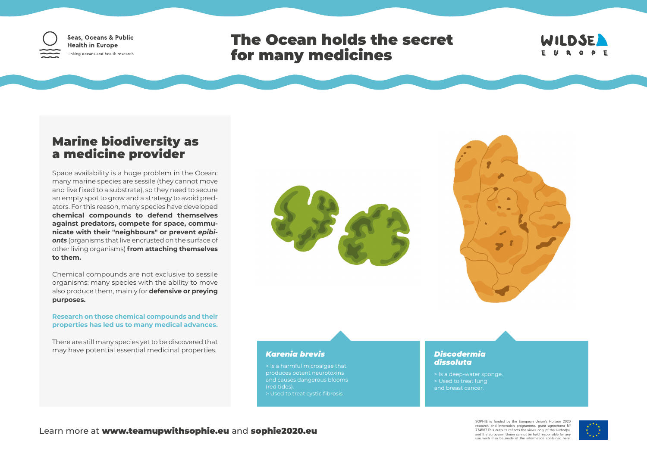

Seas, Oceans & Public **Health in Europe** Linking oceans and health research

# The Ocean holds the secret for many medicines



## Marine biodiversity as a medicine provider

Space availability is a huge problem in the Ocean: many marine species are sessile (they cannot move and live fixed to a substrate), so they need to secure an empty spot to grow and a strategy to avoid predators. For this reason, many species have developed **chemical compounds to defend themselves against predators, compete for space, communicate with their "neighbours" or prevent** *epibionts* (organisms that live encrusted on the surface of other living organisms) **from attaching themselves to them.**

Chemical compounds are not exclusive to sessile organisms: many species with the ability to move also produce them, mainly for **defensive or preying purposes.** 

**Research on those chemical compounds and their properties has led us to many medical advances.**

There are still many species yet to be discovered that may have potential essential medicinal properties.



### *Karenia brevis*

> Is a harmful microalgae that produces potent neurotoxins and causes dangerous blooms (red tides). > Used to treat cystic fibrosis.

#### *Discodermia dissoluta*

> Is a deep-water sponge. > Used to treat lung and breast cancer.

SOPHIE is funded by the European Union's Horizon 2020 research and innovation programme, grant agreement Nº 774567.This outputs reflects the views only pf the author(s), and the Europeam Union cannot be held responsible for any use wich may be made of the information contained here.